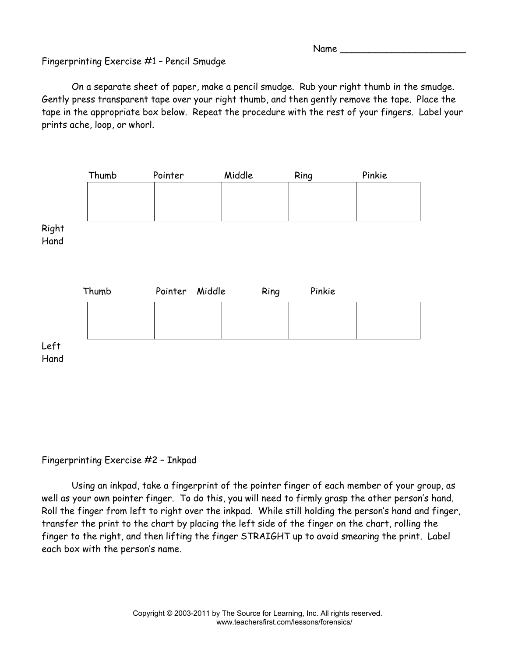Name  $\_\_$ 

## Fingerprinting Exercise #1 – Pencil Smudge

 On a separate sheet of paper, make a pencil smudge. Rub your right thumb in the smudge. Gently press transparent tape over your right thumb, and then gently remove the tape. Place the tape in the appropriate box below. Repeat the procedure with the rest of your fingers. Label your prints ache, loop, or whorl.



## Fingerprinting Exercise #2 – Inkpad

 Using an inkpad, take a fingerprint of the pointer finger of each member of your group, as well as your own pointer finger. To do this, you will need to firmly grasp the other person's hand. Roll the finger from left to right over the inkpad. While still holding the person's hand and finger, transfer the print to the chart by placing the left side of the finger on the chart, rolling the finger to the right, and then lifting the finger STRAIGHT up to avoid smearing the print. Label each box with the person's name.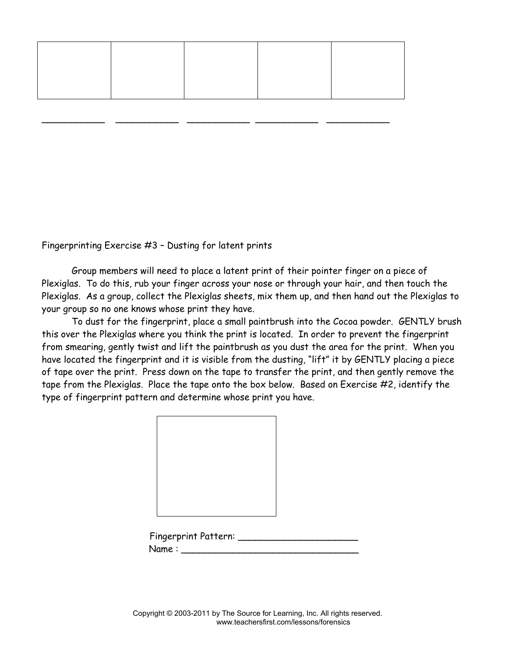\_\_\_\_\_\_\_\_\_\_\_ \_\_\_\_\_\_\_\_\_\_\_ \_\_\_\_\_\_\_\_\_\_\_ \_\_\_\_\_\_\_\_\_\_\_ \_\_\_\_\_\_\_\_\_\_\_

Fingerprinting Exercise #3 – Dusting for latent prints

Group members will need to place a latent print of their pointer finger on a piece of Plexiglas. To do this, rub your finger across your nose or through your hair, and then touch the Plexiglas. As a group, collect the Plexiglas sheets, mix them up, and then hand out the Plexiglas to your group so no one knows whose print they have.

 To dust for the fingerprint, place a small paintbrush into the Cocoa powder. GENTLY brush this over the Plexiglas where you think the print is located. In order to prevent the fingerprint from smearing, gently twist and lift the paintbrush as you dust the area for the print. When you have located the fingerprint and it is visible from the dusting, "lift" it by GENTLY placing a piece of tape over the print. Press down on the tape to transfer the print, and then gently remove the tape from the Plexiglas. Place the tape onto the box below. Based on Exercise #2, identify the type of fingerprint pattern and determine whose print you have.

| <b>Fingerprint Pattern:</b> |  |
|-----------------------------|--|
| Name:                       |  |